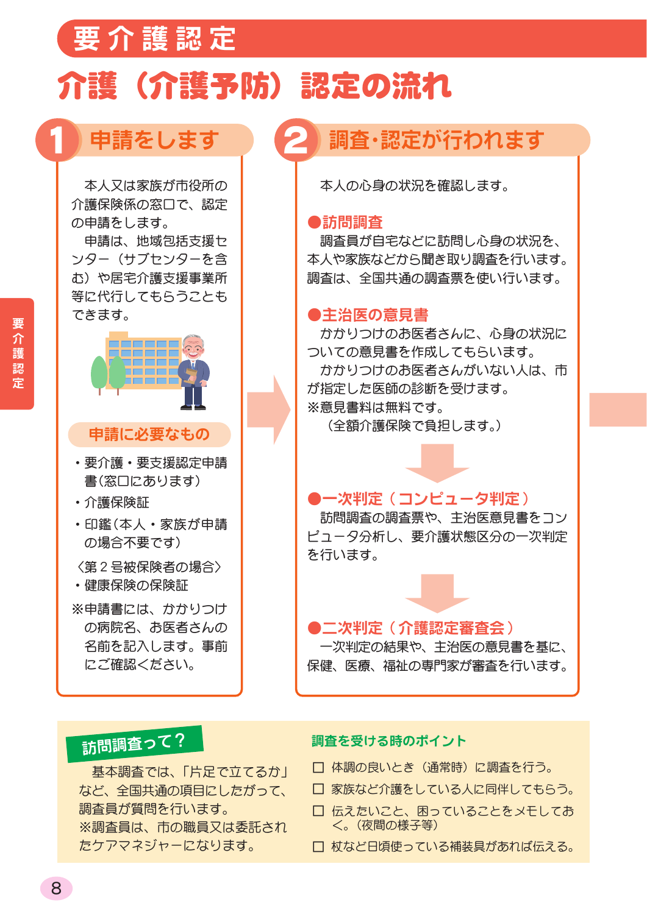## 要介護認定

## 介護(介護予防)認定の流れ

### 申請をします

本人又は家族が市役所の 介護保険係の窓口で、認定 の申請をします。

申請は、地域包括支援セ ンター (サブヤンターを含 む)や居宅介護支援事業所 等に代行してもらうことも できます。



#### 申請に必要なもの

- 要介護 要支援認定申請 書(窓口にあります)
- ・介護保険証
- •印鑑(本人・家族が申請 の場合不要です)

〈第2号被保険者の場合〉

・健康保険の保険証

※申請書には、かかりつけ の病院名、お医者さんの 名前を記入します。事前 にご確認ください。

### 調査・認定が行われます

本人の心身の状況を確認します。

#### ●訪問調査

調査員が自宅などに訪問し心身の状況を、 本人や家族などから聞き取り調査を行います。 調査は、全国共通の調査票を使い行います。

### ●主治医の意見書

かかりつけのお医者さんに、心身の状況に ついての意見書を作成してもらいます。 かかりつけのお医者さんがいない人は、市 が指定した医師の診断を受けます。 ※意見書料は無料です。

(全額介護保険で自担します。)

### ●一次判定(コンピュータ判定)

訪問調査の調査票や、主治医意見書をコン ピュータ分析し、要介護状態区分の一次判定 を行います。

●二次判定(介護認定審査会) 一次判定の結果や、主治医の意見書を基に、 保健、医療、福祉の専門家が審査を行います。

### 訪問調査って?

基本調査では、「片足で立てるか」 など、全国共通の項目にしたがって、 調査員が質問を行います。 ※調査員は、市の職員又は委託され たケアマネジャーになります。

#### 調査を受ける時のポイント

- □ 体調の良いとき (通常時) に調査を行う。
- □ 家族など介護をしている人に同伴してもらう。
- □ 伝えたいこと、困っていることをメモしてお く。(夜間の様子等)
- □ 杖など日頃使っている補装具があれば伝える。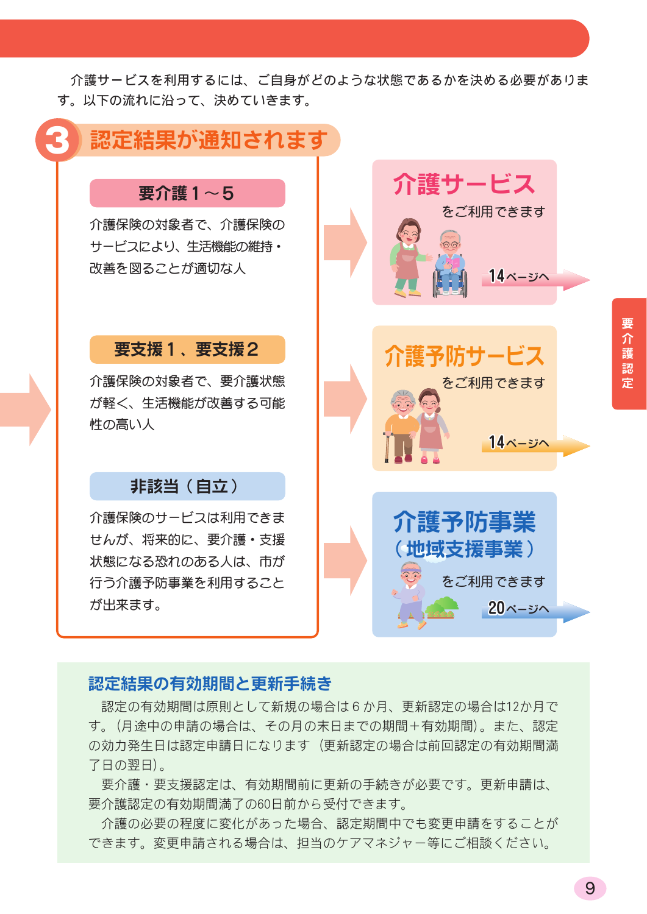介護サービスを利用するには、ご自身がどのような状態であるかを決める必要がありま す。以下の流れに沿って、決めていきます。

### 認定結果が通知されます

### 要介護1~5

介護保険の対象者で、介護保険の サービスにより、生活機能の維持· 改善を図ることが適切な人

### 要支援1、要支援2

介護保険の対象者で、要介護状態 が軽く、生活機能が改善する可能 性の高い人

### 非該当 (自立)

介護保険のサービスは利用できま せんが、将来的に、要介護・支援 状態になる恐れのある人は、市が 行う介護予防事業を利用すること が出来ます。



### 認定結果の有効期間と更新手続き

認定の有効期間は原則として新規の場合は6か月、更新認定の場合は12か月で す。(月途中の申請の場合は、その月の末日までの期間+有効期間)。また、認定 の効力発生日は認定申請日になります(更新認定の場合は前回認定の有効期間満 了日の翌日)。

要介護・要支援認定は、有効期間前に更新の手続きが必要です。更新申請は、 要介護認定の有効期間満了の60日前から受付できます。

介護の必要の程度に変化があった場合、認定期間中でも変更申請をすることが できます。変更申請される場合は、担当のケアマネジャー等にご相談ください。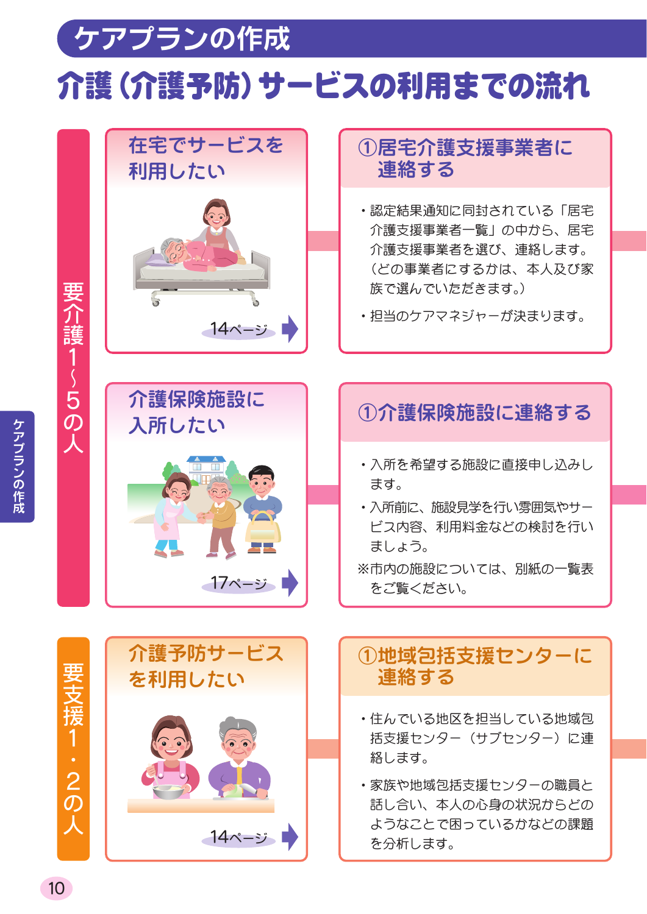# ケアプランの作成 介護(介護予防)サービスの利用までの流れ